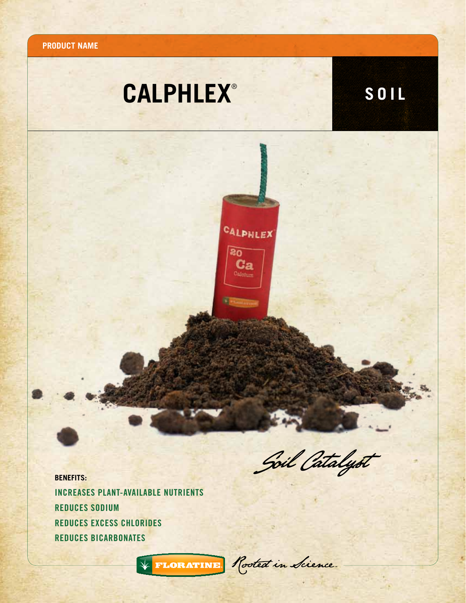

## **CALPHLEX**<sup>®</sup> **SOIL**

CALPHLEX

 $80$  $$ Calcium

**REPAIRING** 

Soil Catalyst

**BENEFITS:** increases plant-available nutrients Reduces sodium Reduces Excess chlorides Reduces bicarbonates

\* FLORATINE Rooted in Sience